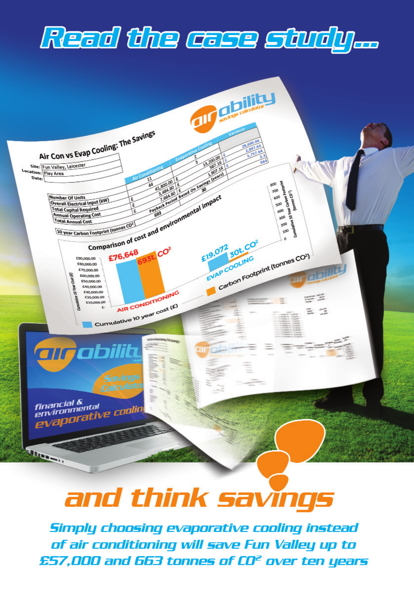# Read the case study...



## and think savings

Simply choosing evaporative cooling instead of air conditioning will save Fun Valley up to £57.000 and 663 tonnes of CO<sup>2</sup> over ten years